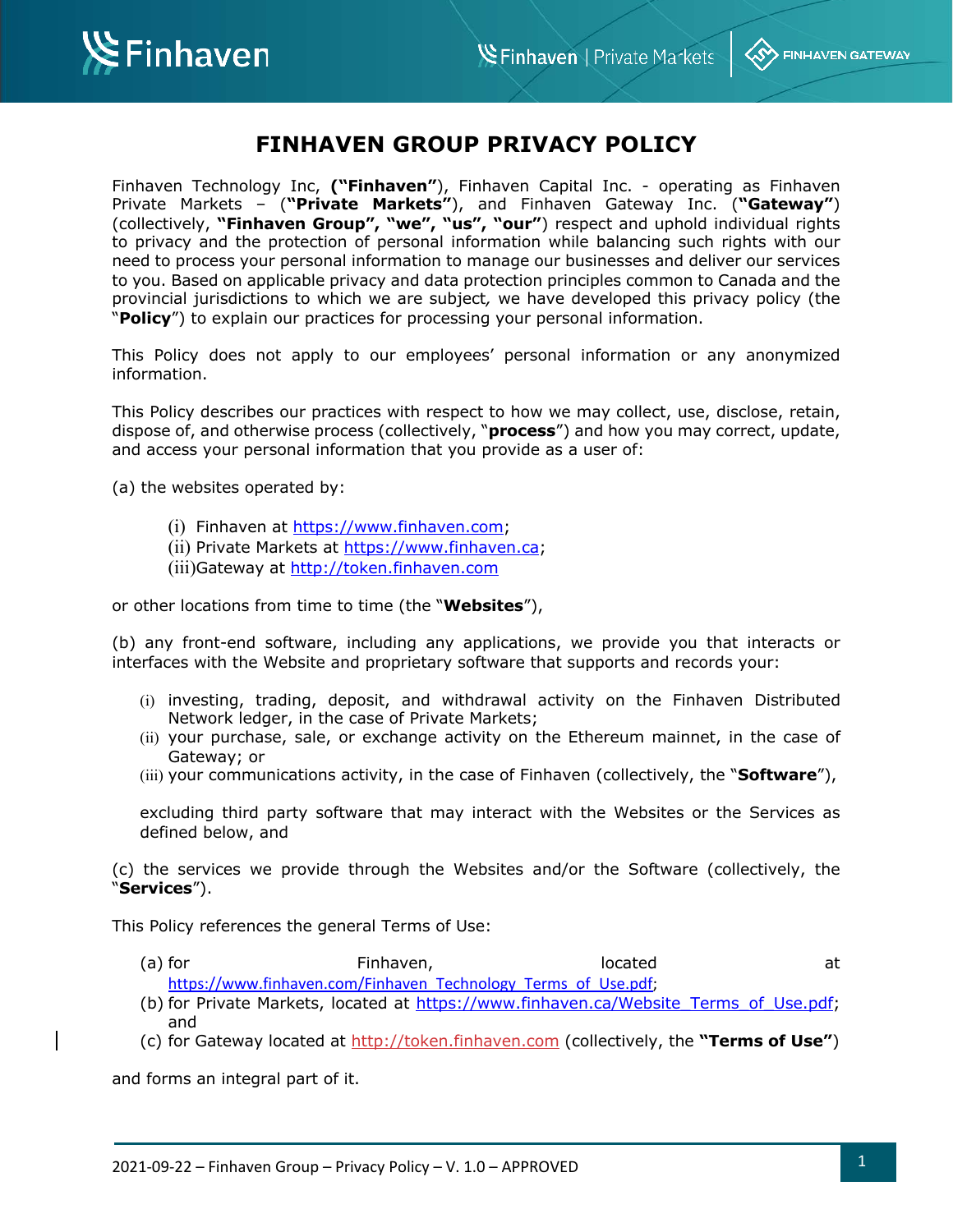**KSY FINHAVEN GATEWAY** 



# **FINHAVEN GROUP PRIVACY POLICY**

Finhaven Technology Inc, **("Finhaven"**), Finhaven Capital Inc. - operating as Finhaven Private Markets – (**"Private Markets"**), and Finhaven Gateway Inc. (**"Gateway"**) (collectively, **"Finhaven Group", "we", "us", "our"**) respect and uphold individual rights to privacy and the protection of personal information while balancing such rights with our need to process your personal information to manage our businesses and deliver our services to you. Based on applicable privacy and data protection principles common to Canada and the provincial jurisdictions to which we are subject*,* we have developed this privacy policy (the "**Policy**") to explain our practices for processing your personal information.

This Policy does not apply to our employees' personal information or any anonymized information.

This Policy describes our practices with respect to how we may collect, use, disclose, retain, dispose of, and otherwise process (collectively, "**process**") and how you may correct, update, and access your personal information that you provide as a user of:

(a) the websites operated by:

- (i) Finhaven at https://www.finhaven.com;
- (ii) Private Markets at https://www.finhaven.ca;
- (iii)Gateway at http://token.finhaven.com

or other locations from time to time (the "**Websites**"),

(b) any front-end software, including any applications, we provide you that interacts or interfaces with the Website and proprietary software that supports and records your:

- (i) investing, trading, deposit, and withdrawal activity on the Finhaven Distributed Network ledger, in the case of Private Markets;
- (ii) your purchase, sale, or exchange activity on the Ethereum mainnet, in the case of Gateway; or
- (iii) your communications activity, in the case of Finhaven (collectively, the "**Software**"),

excluding third party software that may interact with the Websites or the Services as defined below, and

(c) the services we provide through the Websites and/or the Software (collectively, the "**Services**").

This Policy references the general Terms of Use:

- (a) for example at Finhaven, the second at the second at the Finhaven, the second at the second at the second at  $\alpha$ https://www.finhaven.com/Finhaven\_Technology\_Terms\_of\_Use.pdf;
- (b) for Private Markets, located at https://www.finhaven.ca/Website\_Terms\_of\_Use.pdf; and
- (c) for Gateway located at http://token.finhaven.com (collectively, the **"Terms of Use"**)

and forms an integral part of it.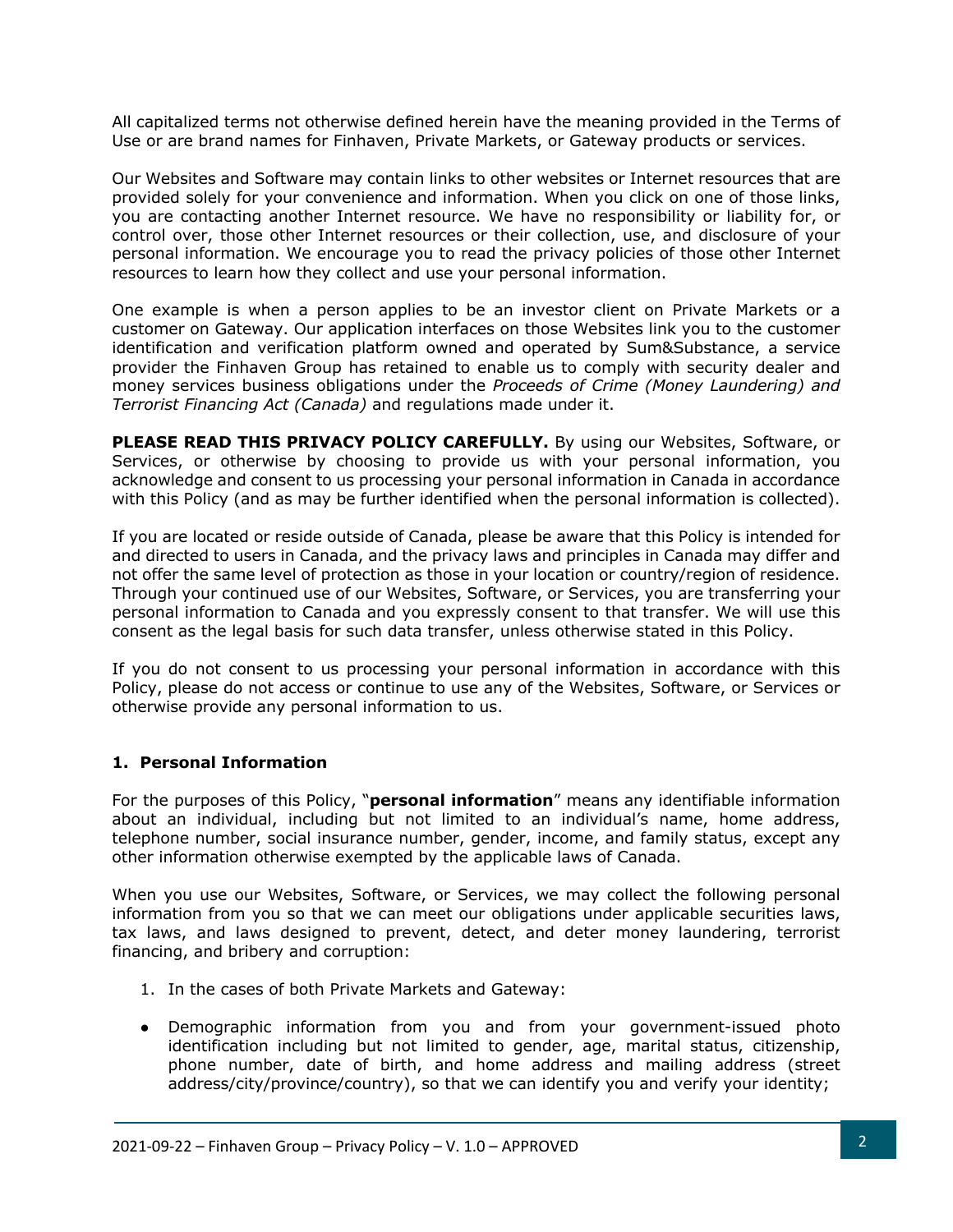All capitalized terms not otherwise defined herein have the meaning provided in the Terms of Use or are brand names for Finhaven, Private Markets, or Gateway products or services.

Our Websites and Software may contain links to other websites or Internet resources that are provided solely for your convenience and information. When you click on one of those links, you are contacting another Internet resource. We have no responsibility or liability for, or control over, those other Internet resources or their collection, use, and disclosure of your personal information. We encourage you to read the privacy policies of those other Internet resources to learn how they collect and use your personal information.

One example is when a person applies to be an investor client on Private Markets or a customer on Gateway. Our application interfaces on those Websites link you to the customer identification and verification platform owned and operated by Sum&Substance, a service provider the Finhaven Group has retained to enable us to comply with security dealer and money services business obligations under the *Proceeds of Crime (Money Laundering) and Terrorist Financing Act (Canada)* and regulations made under it.

**PLEASE READ THIS PRIVACY POLICY CAREFULLY.** By using our Websites, Software, or Services, or otherwise by choosing to provide us with your personal information, you acknowledge and consent to us processing your personal information in Canada in accordance with this Policy (and as may be further identified when the personal information is collected).

If you are located or reside outside of Canada, please be aware that this Policy is intended for and directed to users in Canada, and the privacy laws and principles in Canada may differ and not offer the same level of protection as those in your location or country/region of residence. Through your continued use of our Websites, Software, or Services, you are transferring your personal information to Canada and you expressly consent to that transfer. We will use this consent as the legal basis for such data transfer, unless otherwise stated in this Policy.

If you do not consent to us processing your personal information in accordance with this Policy, please do not access or continue to use any of the Websites, Software, or Services or otherwise provide any personal information to us.

## **1. Personal Information**

For the purposes of this Policy, "**personal information**" means any identifiable information about an individual, including but not limited to an individual's name, home address, telephone number, social insurance number, gender, income, and family status, except any other information otherwise exempted by the applicable laws of Canada.

When you use our Websites, Software, or Services, we may collect the following personal information from you so that we can meet our obligations under applicable securities laws, tax laws, and laws designed to prevent, detect, and deter money laundering, terrorist financing, and bribery and corruption:

- 1. In the cases of both Private Markets and Gateway:
- Demographic information from you and from your government-issued photo identification including but not limited to gender, age, marital status, citizenship, phone number, date of birth, and home address and mailing address (street address/city/province/country), so that we can identify you and verify your identity;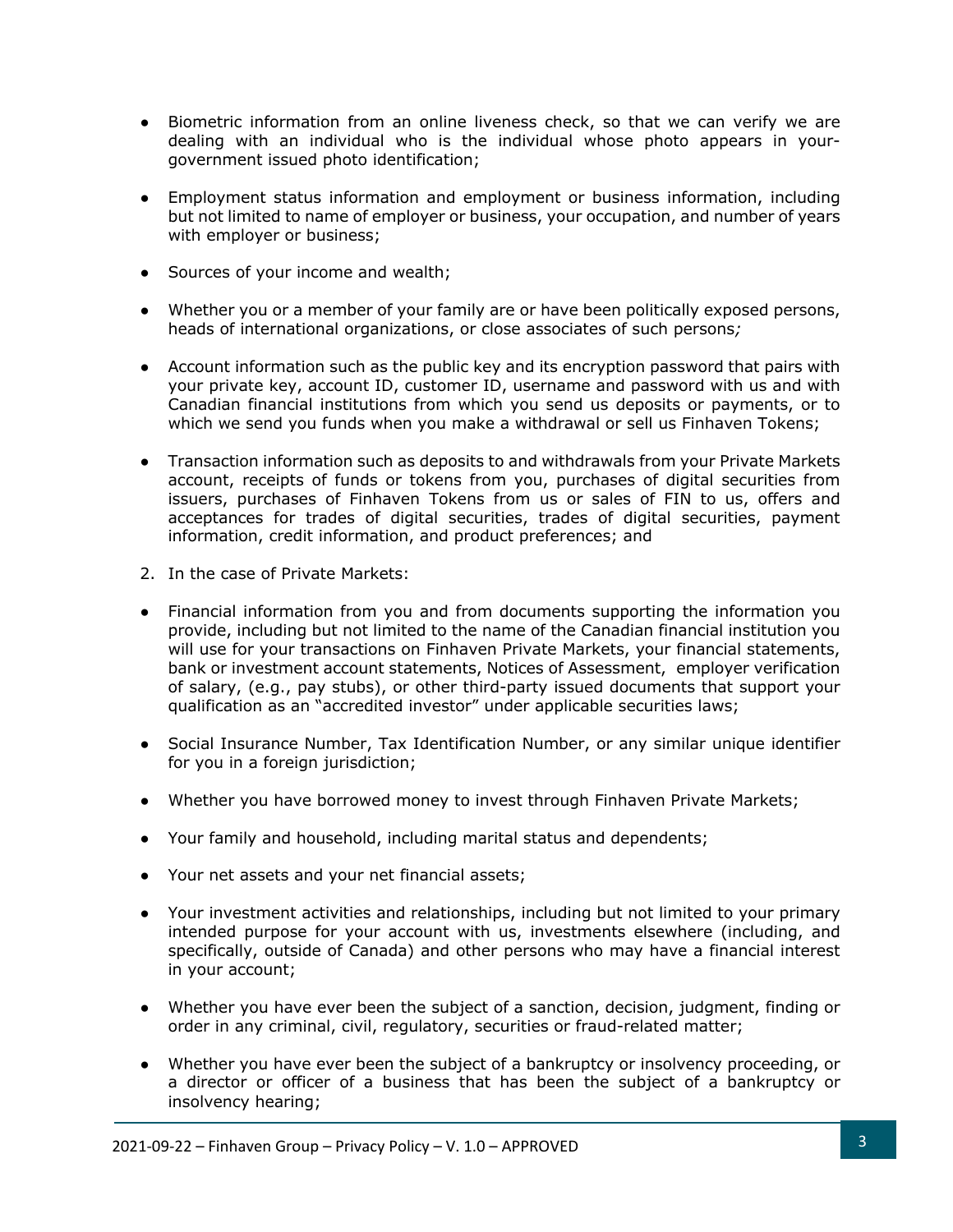- Biometric information from an online liveness check, so that we can verify we are dealing with an individual who is the individual whose photo appears in yourgovernment issued photo identification;
- Employment status information and employment or business information, including but not limited to name of employer or business, your occupation, and number of years with employer or business;
- Sources of your income and wealth;
- Whether you or a member of your family are or have been politically exposed persons, heads of international organizations, or close associates of such persons*;*
- Account information such as the public key and its encryption password that pairs with your private key, account ID, customer ID, username and password with us and with Canadian financial institutions from which you send us deposits or payments, or to which we send you funds when you make a withdrawal or sell us Finhaven Tokens;
- Transaction information such as deposits to and withdrawals from your Private Markets account, receipts of funds or tokens from you, purchases of digital securities from issuers, purchases of Finhaven Tokens from us or sales of FIN to us, offers and acceptances for trades of digital securities, trades of digital securities, payment information, credit information, and product preferences; and
- 2. In the case of Private Markets:
- Financial information from you and from documents supporting the information you provide, including but not limited to the name of the Canadian financial institution you will use for your transactions on Finhaven Private Markets, your financial statements, bank or investment account statements, Notices of Assessment, employer verification of salary, (e.g., pay stubs), or other third-party issued documents that support your qualification as an "accredited investor" under applicable securities laws;
- Social Insurance Number, Tax Identification Number, or any similar unique identifier for you in a foreign jurisdiction;
- Whether you have borrowed money to invest through Finhaven Private Markets;
- Your family and household, including marital status and dependents;
- Your net assets and your net financial assets;
- Your investment activities and relationships, including but not limited to your primary intended purpose for your account with us, investments elsewhere (including, and specifically, outside of Canada) and other persons who may have a financial interest in your account;
- Whether you have ever been the subject of a sanction, decision, judgment, finding or order in any criminal, civil, regulatory, securities or fraud-related matter;
- Whether you have ever been the subject of a bankruptcy or insolvency proceeding, or a director or officer of a business that has been the subject of a bankruptcy or insolvency hearing;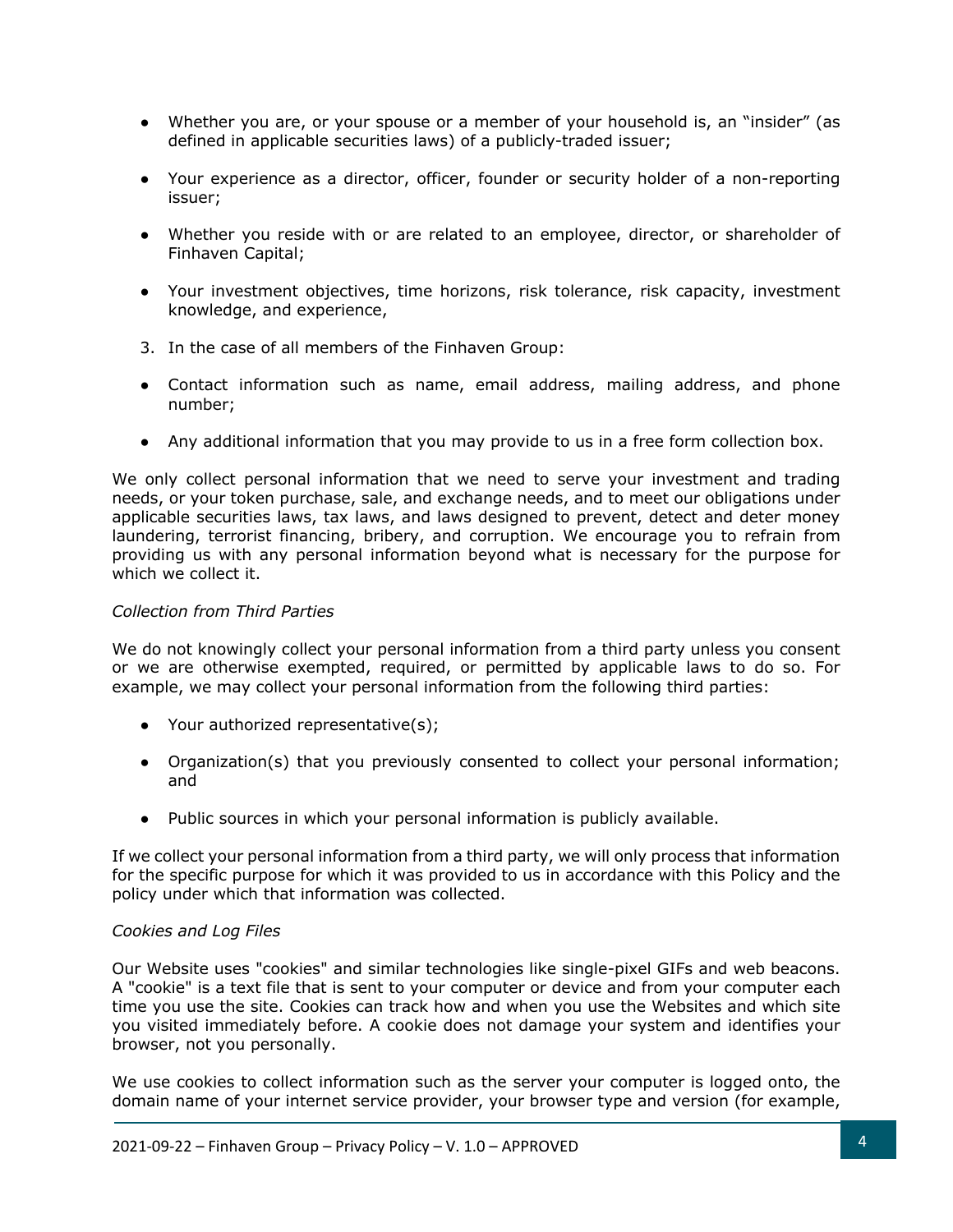- Whether you are, or your spouse or a member of your household is, an "insider" (as defined in applicable securities laws) of a publicly-traded issuer;
- Your experience as a director, officer, founder or security holder of a non-reporting issuer;
- Whether you reside with or are related to an employee, director, or shareholder of Finhaven Capital;
- Your investment objectives, time horizons, risk tolerance, risk capacity, investment knowledge, and experience,
- 3. In the case of all members of the Finhaven Group:
- Contact information such as name, email address, mailing address, and phone number;
- Any additional information that you may provide to us in a free form collection box.

We only collect personal information that we need to serve your investment and trading needs, or your token purchase, sale, and exchange needs, and to meet our obligations under applicable securities laws, tax laws, and laws designed to prevent, detect and deter monev laundering, terrorist financing, bribery, and corruption. We encourage you to refrain from providing us with any personal information beyond what is necessary for the purpose for which we collect it.

#### *Collection from Third Parties*

We do not knowingly collect your personal information from a third party unless you consent or we are otherwise exempted, required, or permitted by applicable laws to do so. For example, we may collect your personal information from the following third parties:

- Your authorized representative(s);
- Organization(s) that you previously consented to collect your personal information; and
- Public sources in which your personal information is publicly available.

If we collect your personal information from a third party, we will only process that information for the specific purpose for which it was provided to us in accordance with this Policy and the policy under which that information was collected.

#### *Cookies and Log Files*

Our Website uses "cookies" and similar technologies like single-pixel GIFs and web beacons. A "cookie" is a text file that is sent to your computer or device and from your computer each time you use the site. Cookies can track how and when you use the Websites and which site you visited immediately before. A cookie does not damage your system and identifies your browser, not you personally.

We use cookies to collect information such as the server your computer is logged onto, the domain name of your internet service provider, your browser type and version (for example,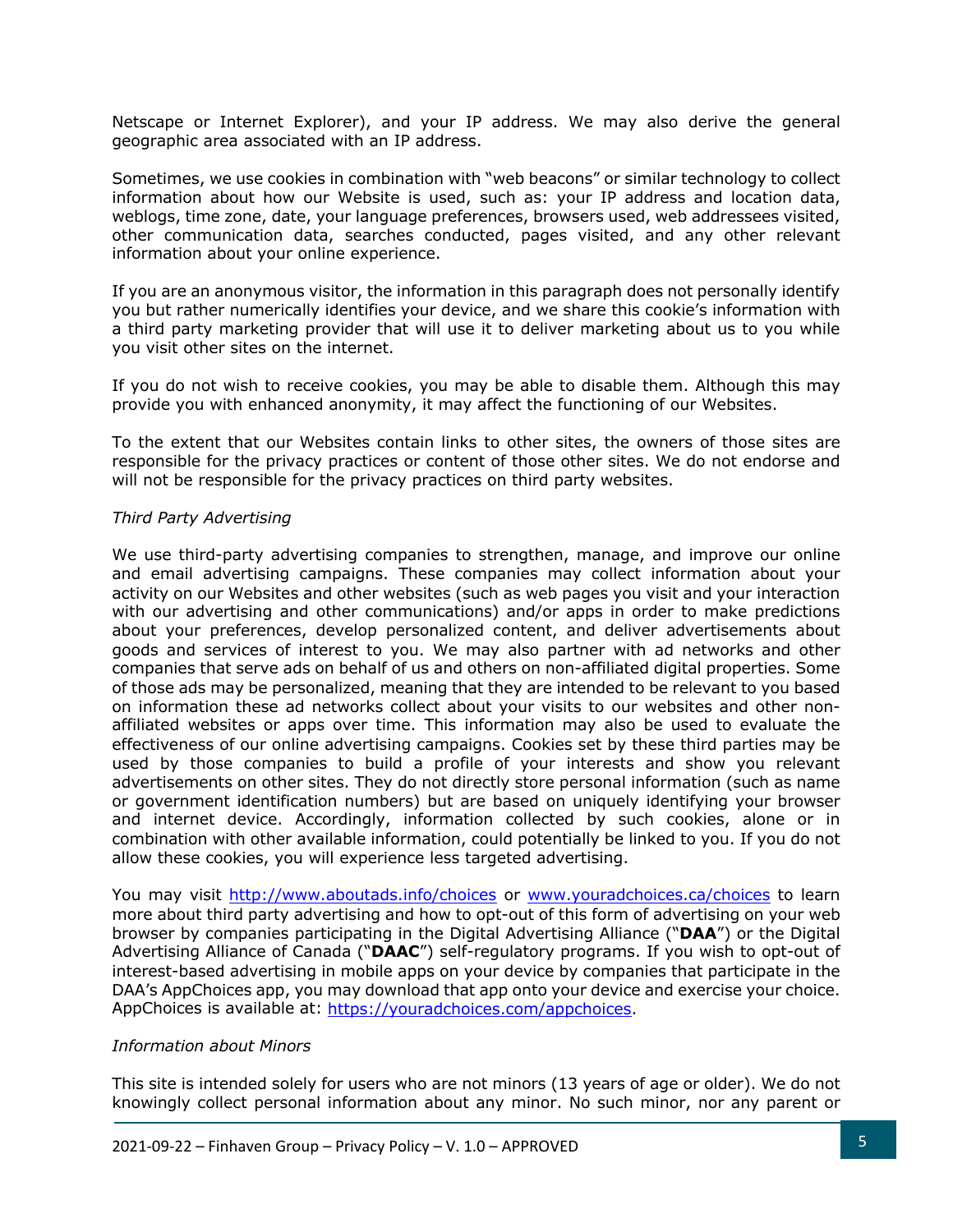Netscape or Internet Explorer), and your IP address. We may also derive the general geographic area associated with an IP address.

Sometimes, we use cookies in combination with "web beacons" or similar technology to collect information about how our Website is used, such as: your IP address and location data, weblogs, time zone, date, your language preferences, browsers used, web addressees visited, other communication data, searches conducted, pages visited, and any other relevant information about your online experience.

If you are an anonymous visitor, the information in this paragraph does not personally identify you but rather numerically identifies your device, and we share this cookie's information with a third party marketing provider that will use it to deliver marketing about us to you while you visit other sites on the internet.

If you do not wish to receive cookies, you may be able to disable them. Although this may provide you with enhanced anonymity, it may affect the functioning of our Websites.

To the extent that our Websites contain links to other sites, the owners of those sites are responsible for the privacy practices or content of those other sites. We do not endorse and will not be responsible for the privacy practices on third party websites.

#### *Third Party Advertising*

We use third-party advertising companies to strengthen, manage, and improve our online and email advertising campaigns. These companies may collect information about your activity on our Websites and other websites (such as web pages you visit and your interaction with our advertising and other communications) and/or apps in order to make predictions about your preferences, develop personalized content, and deliver advertisements about goods and services of interest to you. We may also partner with ad networks and other companies that serve ads on behalf of us and others on non-affiliated digital properties. Some of those ads may be personalized, meaning that they are intended to be relevant to you based on information these ad networks collect about your visits to our websites and other nonaffiliated websites or apps over time. This information may also be used to evaluate the effectiveness of our online advertising campaigns. Cookies set by these third parties may be used by those companies to build a profile of your interests and show you relevant advertisements on other sites. They do not directly store personal information (such as name or government identification numbers) but are based on uniquely identifying your browser and internet device. Accordingly, information collected by such cookies, alone or in combination with other available information, could potentially be linked to you. If you do not allow these cookies, you will experience less targeted advertising.

You may visit http://www.aboutads.info/choices or www.youradchoices.ca/choices to learn more about third party advertising and how to opt-out of this form of advertising on your web browser by companies participating in the Digital Advertising Alliance ("**DAA**") or the Digital Advertising Alliance of Canada ("**DAAC**") self-regulatory programs. If you wish to opt-out of interest-based advertising in mobile apps on your device by companies that participate in the DAA's AppChoices app, you may download that app onto your device and exercise your choice. AppChoices is available at: https://youradchoices.com/appchoices.

#### *Information about Minors*

This site is intended solely for users who are not minors (13 years of age or older). We do not knowingly collect personal information about any minor. No such minor, nor any parent or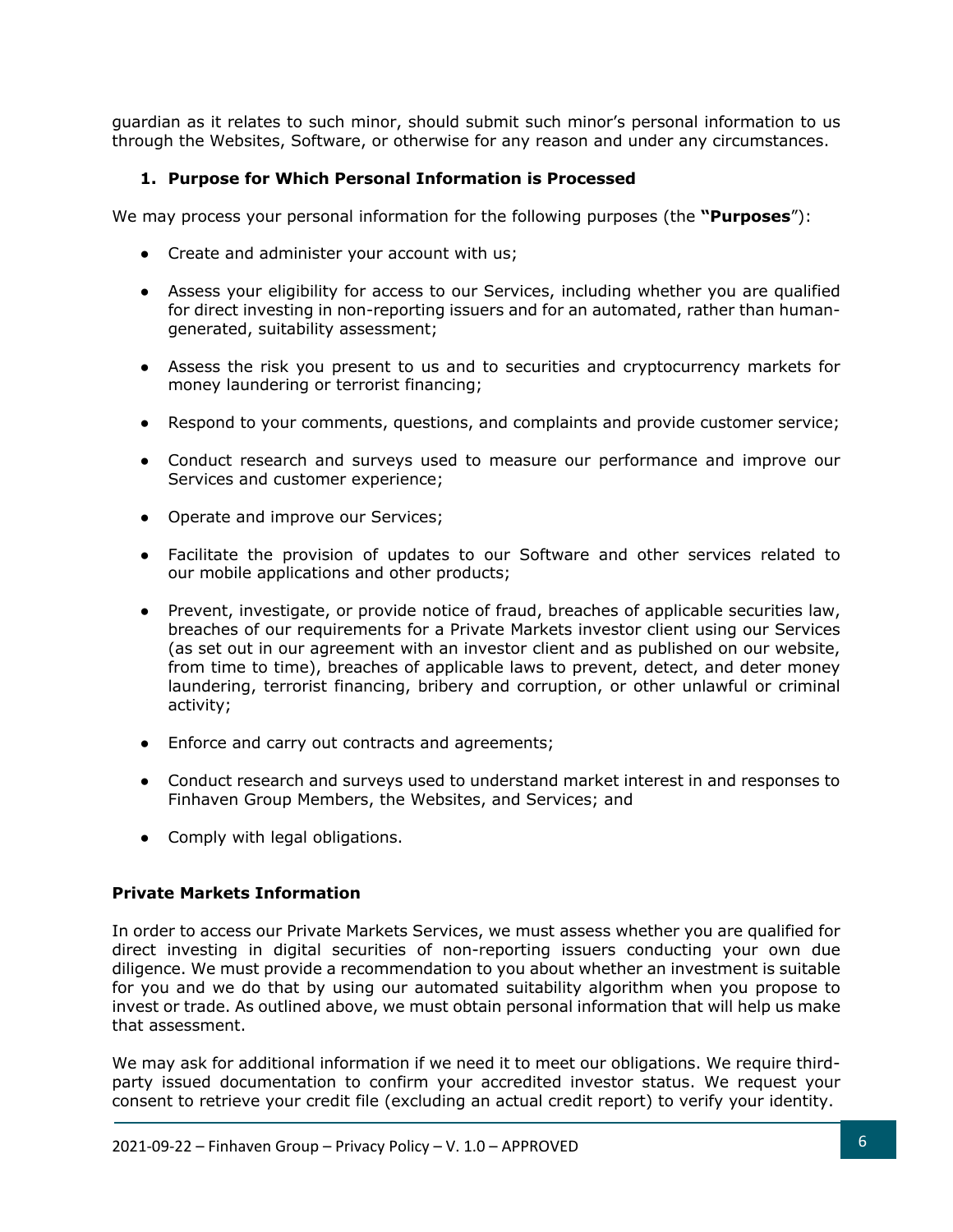guardian as it relates to such minor, should submit such minor's personal information to us through the Websites, Software, or otherwise for any reason and under any circumstances.

# **1. Purpose for Which Personal Information is Processed**

We may process your personal information for the following purposes (the **"Purposes**"):

- Create and administer your account with us;
- Assess your eligibility for access to our Services, including whether you are qualified for direct investing in non-reporting issuers and for an automated, rather than humangenerated, suitability assessment;
- Assess the risk you present to us and to securities and cryptocurrency markets for money laundering or terrorist financing;
- Respond to your comments, questions, and complaints and provide customer service;
- Conduct research and surveys used to measure our performance and improve our Services and customer experience;
- Operate and improve our Services;
- Facilitate the provision of updates to our Software and other services related to our mobile applications and other products;
- Prevent, investigate, or provide notice of fraud, breaches of applicable securities law, breaches of our requirements for a Private Markets investor client using our Services (as set out in our agreement with an investor client and as published on our website, from time to time), breaches of applicable laws to prevent, detect, and deter money laundering, terrorist financing, bribery and corruption, or other unlawful or criminal activity;
- Enforce and carry out contracts and agreements;
- Conduct research and surveys used to understand market interest in and responses to Finhaven Group Members, the Websites, and Services; and
- Comply with legal obligations.

## **Private Markets Information**

In order to access our Private Markets Services, we must assess whether you are qualified for direct investing in digital securities of non-reporting issuers conducting your own due diligence. We must provide a recommendation to you about whether an investment is suitable for you and we do that by using our automated suitability algorithm when you propose to invest or trade. As outlined above, we must obtain personal information that will help us make that assessment.

We may ask for additional information if we need it to meet our obligations. We require thirdparty issued documentation to confirm your accredited investor status. We request your consent to retrieve your credit file (excluding an actual credit report) to verify your identity.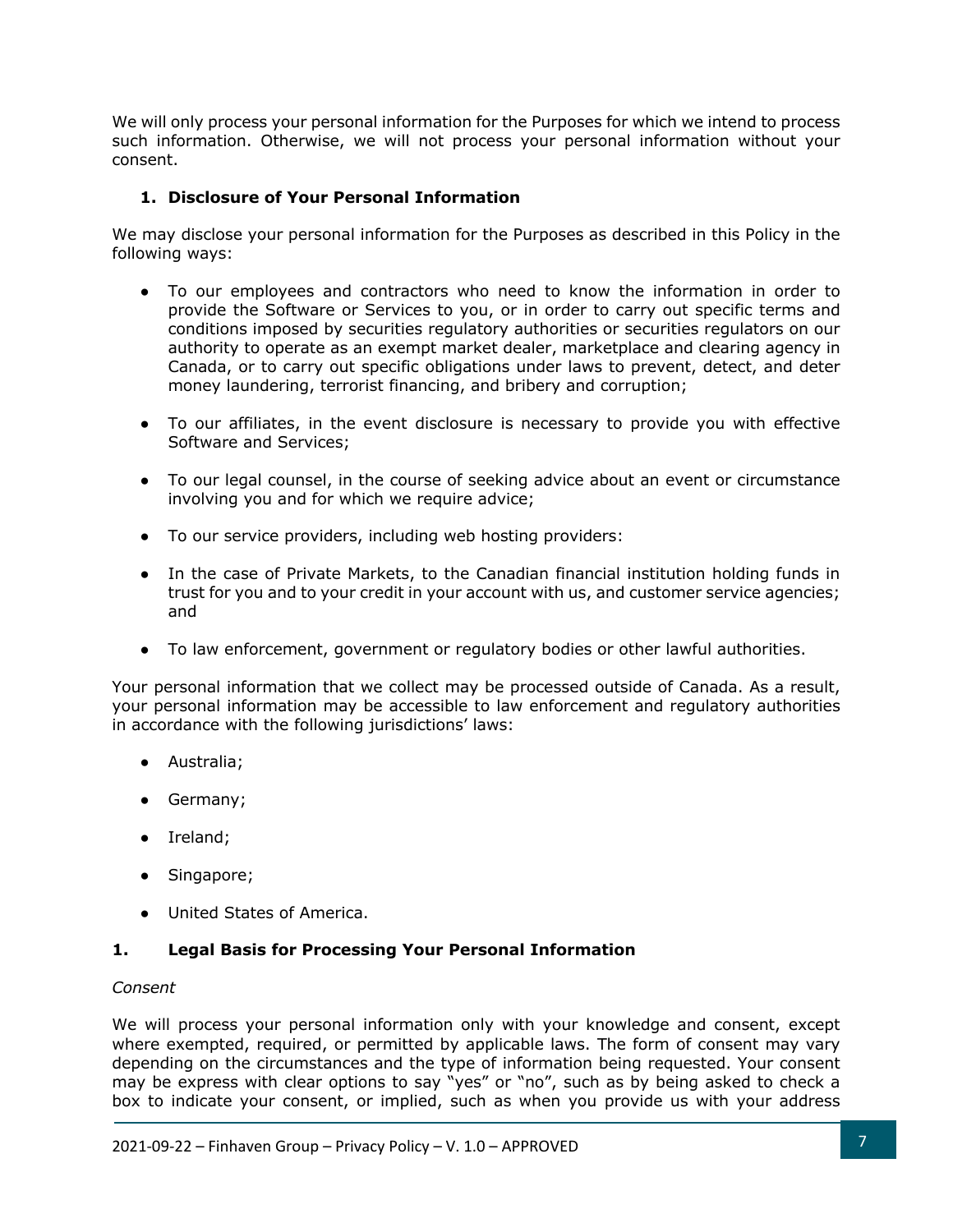We will only process your personal information for the Purposes for which we intend to process such information. Otherwise, we will not process your personal information without your consent.

## **1. Disclosure of Your Personal Information**

We may disclose your personal information for the Purposes as described in this Policy in the following ways:

- To our employees and contractors who need to know the information in order to provide the Software or Services to you, or in order to carry out specific terms and conditions imposed by securities regulatory authorities or securities regulators on our authority to operate as an exempt market dealer, marketplace and clearing agency in Canada, or to carry out specific obligations under laws to prevent, detect, and deter money laundering, terrorist financing, and bribery and corruption;
- To our affiliates, in the event disclosure is necessary to provide you with effective Software and Services;
- To our legal counsel, in the course of seeking advice about an event or circumstance involving you and for which we require advice;
- To our service providers, including web hosting providers:
- In the case of Private Markets, to the Canadian financial institution holding funds in trust for you and to your credit in your account with us, and customer service agencies; and
- To law enforcement, government or regulatory bodies or other lawful authorities.

Your personal information that we collect may be processed outside of Canada. As a result, your personal information may be accessible to law enforcement and regulatory authorities in accordance with the following jurisdictions' laws:

- Australia;
- Germany;
- Ireland;
- Singapore;
- United States of America.

## **1. Legal Basis for Processing Your Personal Information**

#### *Consent*

We will process your personal information only with your knowledge and consent, except where exempted, required, or permitted by applicable laws. The form of consent may vary depending on the circumstances and the type of information being requested. Your consent may be express with clear options to say "yes" or "no", such as by being asked to check a box to indicate your consent, or implied, such as when you provide us with your address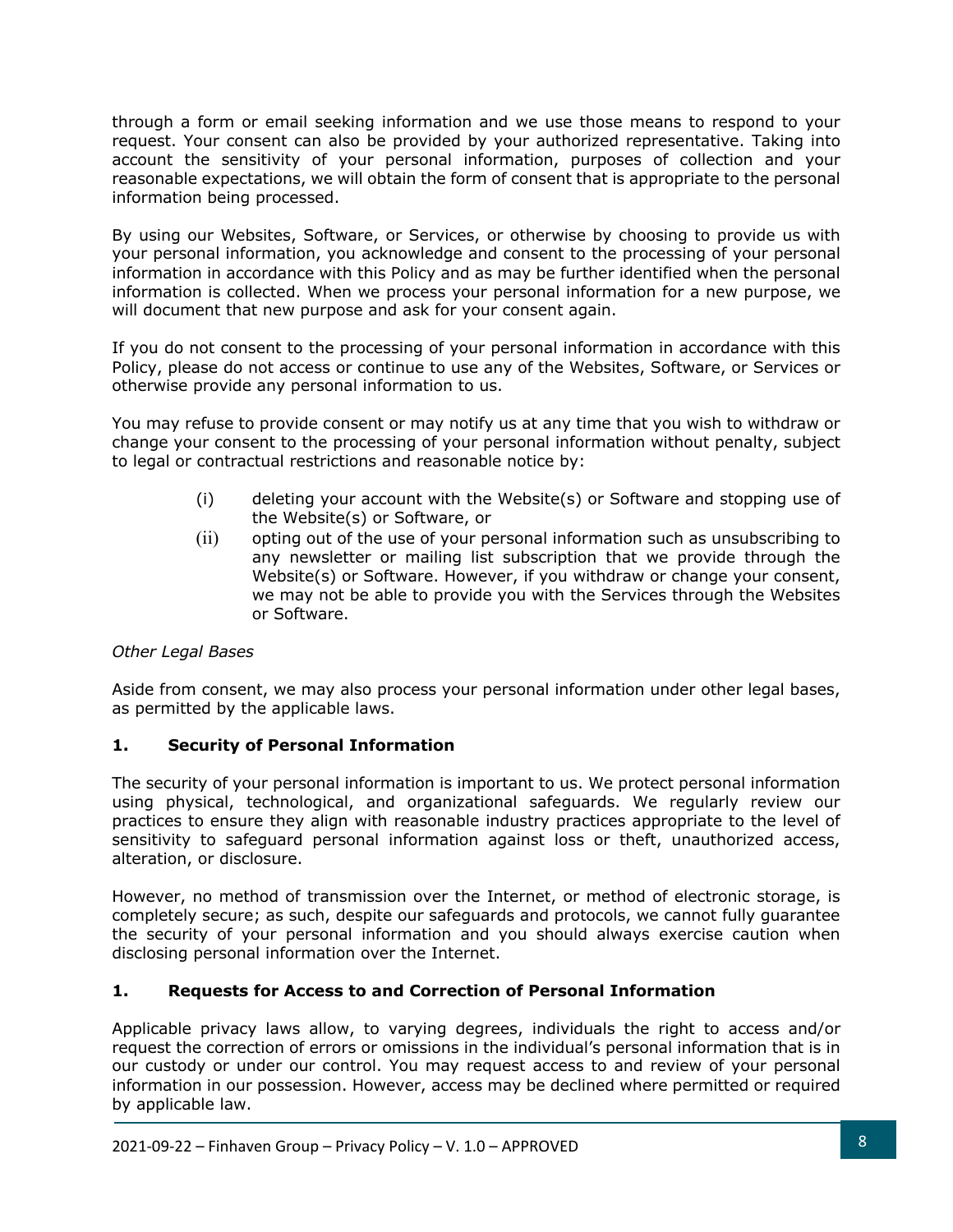through a form or email seeking information and we use those means to respond to your request. Your consent can also be provided by your authorized representative. Taking into account the sensitivity of your personal information, purposes of collection and your reasonable expectations, we will obtain the form of consent that is appropriate to the personal information being processed.

By using our Websites, Software, or Services, or otherwise by choosing to provide us with your personal information, you acknowledge and consent to the processing of your personal information in accordance with this Policy and as may be further identified when the personal information is collected. When we process your personal information for a new purpose, we will document that new purpose and ask for your consent again.

If you do not consent to the processing of your personal information in accordance with this Policy, please do not access or continue to use any of the Websites, Software, or Services or otherwise provide any personal information to us.

You may refuse to provide consent or may notify us at any time that you wish to withdraw or change your consent to the processing of your personal information without penalty, subject to legal or contractual restrictions and reasonable notice by:

- (i) deleting your account with the Website(s) or Software and stopping use of the Website(s) or Software, or
- (ii) opting out of the use of your personal information such as unsubscribing to any newsletter or mailing list subscription that we provide through the Website(s) or Software. However, if you withdraw or change your consent, we may not be able to provide you with the Services through the Websites or Software.

## *Other Legal Bases*

Aside from consent, we may also process your personal information under other legal bases, as permitted by the applicable laws.

## **1. Security of Personal Information**

The security of your personal information is important to us. We protect personal information using physical, technological, and organizational safeguards. We regularly review our practices to ensure they align with reasonable industry practices appropriate to the level of sensitivity to safeguard personal information against loss or theft, unauthorized access, alteration, or disclosure.

However, no method of transmission over the Internet, or method of electronic storage, is completely secure; as such, despite our safeguards and protocols, we cannot fully guarantee the security of your personal information and you should always exercise caution when disclosing personal information over the Internet.

## **1. Requests for Access to and Correction of Personal Information**

Applicable privacy laws allow, to varying degrees, individuals the right to access and/or request the correction of errors or omissions in the individual's personal information that is in our custody or under our control. You may request access to and review of your personal information in our possession. However, access may be declined where permitted or required by applicable law.